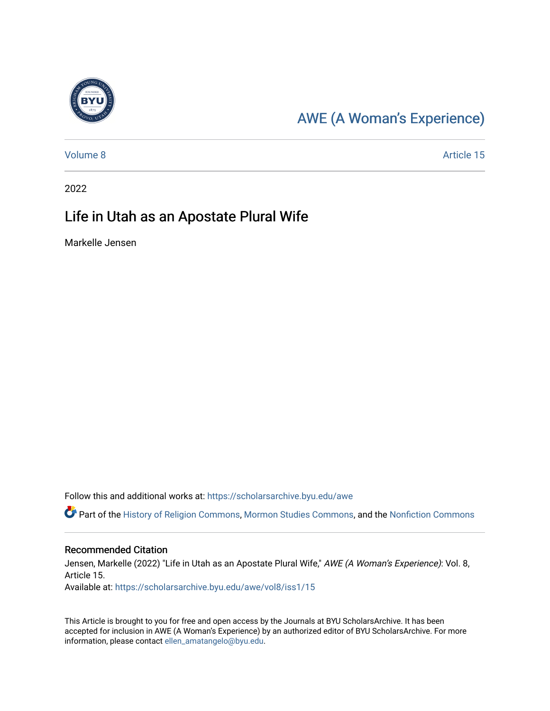

### [AWE \(A Woman's Experience\)](https://scholarsarchive.byu.edu/awe)

[Volume 8](https://scholarsarchive.byu.edu/awe/vol8) Article 15

2022

#### Life in Utah as an Apostate Plural Wife

Markelle Jensen

Follow this and additional works at: [https://scholarsarchive.byu.edu/awe](https://scholarsarchive.byu.edu/awe?utm_source=scholarsarchive.byu.edu%2Fawe%2Fvol8%2Fiss1%2F15&utm_medium=PDF&utm_campaign=PDFCoverPages)

Part of the [History of Religion Commons](https://network.bepress.com/hgg/discipline/499?utm_source=scholarsarchive.byu.edu%2Fawe%2Fvol8%2Fiss1%2F15&utm_medium=PDF&utm_campaign=PDFCoverPages), [Mormon Studies Commons,](https://network.bepress.com/hgg/discipline/1360?utm_source=scholarsarchive.byu.edu%2Fawe%2Fvol8%2Fiss1%2F15&utm_medium=PDF&utm_campaign=PDFCoverPages) and the [Nonfiction Commons](https://network.bepress.com/hgg/discipline/1152?utm_source=scholarsarchive.byu.edu%2Fawe%2Fvol8%2Fiss1%2F15&utm_medium=PDF&utm_campaign=PDFCoverPages) 

#### Recommended Citation

Jensen, Markelle (2022) "Life in Utah as an Apostate Plural Wife," AWE (A Woman's Experience): Vol. 8, Article 15. Available at: [https://scholarsarchive.byu.edu/awe/vol8/iss1/15](https://scholarsarchive.byu.edu/awe/vol8/iss1/15?utm_source=scholarsarchive.byu.edu%2Fawe%2Fvol8%2Fiss1%2F15&utm_medium=PDF&utm_campaign=PDFCoverPages) 

This Article is brought to you for free and open access by the Journals at BYU ScholarsArchive. It has been accepted for inclusion in AWE (A Woman's Experience) by an authorized editor of BYU ScholarsArchive. For more information, please contact [ellen\\_amatangelo@byu.edu.](mailto:ellen_amatangelo@byu.edu)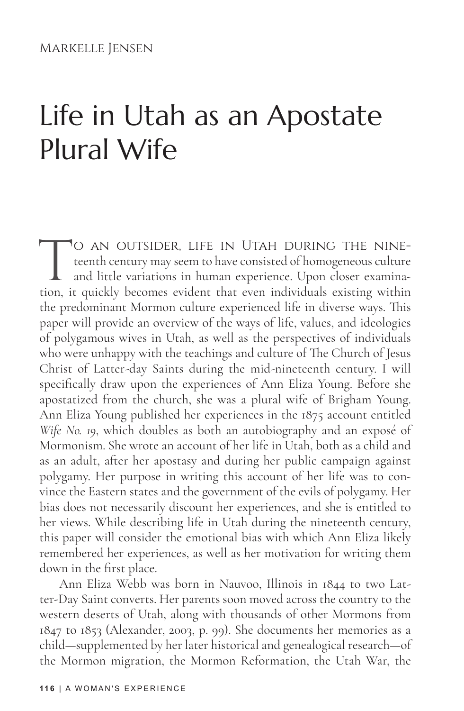# Life in Utah as an Apostate Plural Wife

TO AN OUTSIDER, LIFE IN UTAH DURING THE NINE-<br>teenth century may seem to have consisted of homogeneous culture<br>and little variations in human experience. Upon closer examina-<br>tion, it quickly becomes evident that even indi teenth century may seem to have consisted of homogeneous culture and little variations in human experience. Upon closer examination, it quickly becomes evident that even individuals existing within the predominant Mormon culture experienced life in diverse ways. This paper will provide an overview of the ways of life, values, and ideologies of polygamous wives in Utah, as well as the perspectives of individuals who were unhappy with the teachings and culture of The Church of Jesus Christ of Latter-day Saints during the mid-nineteenth century. I will specifically draw upon the experiences of Ann Eliza Young. Before she apostatized from the church, she was a plural wife of Brigham Young. Ann Eliza Young published her experiences in the 1875 account entitled *Wife No. 19*, which doubles as both an autobiography and an exposé of Mormonism. She wrote an account of her life in Utah, both as a child and as an adult, after her apostasy and during her public campaign against polygamy. Her purpose in writing this account of her life was to convince the Eastern states and the government of the evils of polygamy. Her bias does not necessarily discount her experiences, and she is entitled to her views. While describing life in Utah during the nineteenth century, this paper will consider the emotional bias with which Ann Eliza likely remembered her experiences, as well as her motivation for writing them down in the first place.

Ann Eliza Webb was born in Nauvoo, Illinois in 1844 to two Latter-Day Saint converts. Her parents soon moved across the country to the western deserts of Utah, along with thousands of other Mormons from 1847 to 1853 (Alexander, 2003, p. 99). She documents her memories as a child—supplemented by her later historical and genealogical research—of the Mormon migration, the Mormon Reformation, the Utah War, the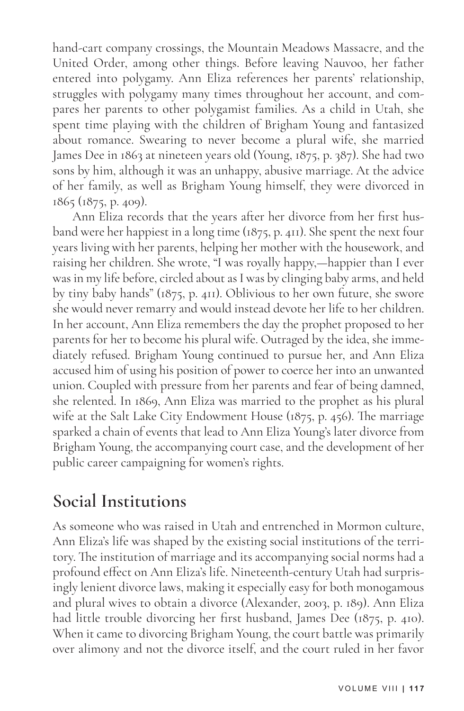hand-cart company crossings, the Mountain Meadows Massacre, and the United Order, among other things. Before leaving Nauvoo, her father entered into polygamy. Ann Eliza references her parents' relationship, struggles with polygamy many times throughout her account, and compares her parents to other polygamist families. As a child in Utah, she spent time playing with the children of Brigham Young and fantasized about romance. Swearing to never become a plural wife, she married James Dee in 1863 at nineteen years old (Young, 1875, p. 387). She had two sons by him, although it was an unhappy, abusive marriage. At the advice of her family, as well as Brigham Young himself, they were divorced in 1865 (1875, p. 409).

Ann Eliza records that the years after her divorce from her first husband were her happiest in a long time (1875, p. 411). She spent the next four years living with her parents, helping her mother with the housework, and raising her children. She wrote, "I was royally happy,—happier than I ever was in my life before, circled about as I was by clinging baby arms, and held by tiny baby hands" (1875, p. 411). Oblivious to her own future, she swore she would never remarry and would instead devote her life to her children. In her account, Ann Eliza remembers the day the prophet proposed to her parents for her to become his plural wife. Outraged by the idea, she immediately refused. Brigham Young continued to pursue her, and Ann Eliza accused him of using his position of power to coerce her into an unwanted union. Coupled with pressure from her parents and fear of being damned, she relented. In 1869, Ann Eliza was married to the prophet as his plural wife at the Salt Lake City Endowment House (1875, p. 456). The marriage sparked a chain of events that lead to Ann Eliza Young's later divorce from Brigham Young, the accompanying court case, and the development of her public career campaigning for women's rights.

#### **Social Institutions**

As someone who was raised in Utah and entrenched in Mormon culture, Ann Eliza's life was shaped by the existing social institutions of the territory. The institution of marriage and its accompanying social norms had a profound effect on Ann Eliza's life. Nineteenth-century Utah had surprisingly lenient divorce laws, making it especially easy for both monogamous and plural wives to obtain a divorce (Alexander, 2003, p. 189). Ann Eliza had little trouble divorcing her first husband, James Dee (1875, p. 410). When it came to divorcing Brigham Young, the court battle was primarily over alimony and not the divorce itself, and the court ruled in her favor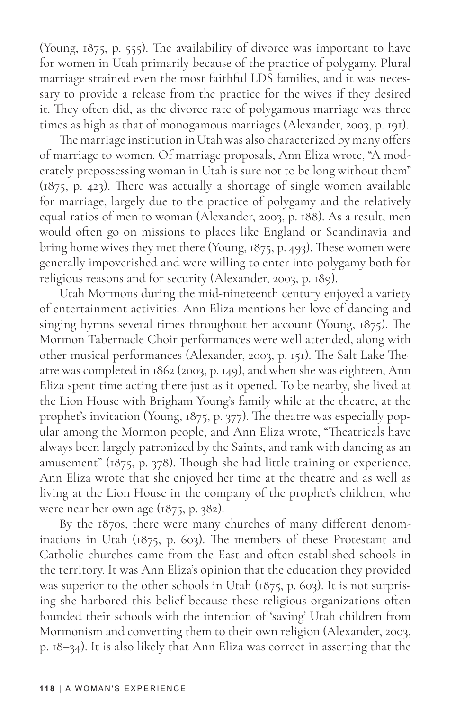(Young, 1875, p. 555). The availability of divorce was important to have for women in Utah primarily because of the practice of polygamy. Plural marriage strained even the most faithful LDS families, and it was necessary to provide a release from the practice for the wives if they desired it. They often did, as the divorce rate of polygamous marriage was three times as high as that of monogamous marriages (Alexander, 2003, p. 191).

The marriage institution in Utah was also characterized by many offers of marriage to women. Of marriage proposals, Ann Eliza wrote, "A moderately prepossessing woman in Utah is sure not to be long without them" (1875, p. 423). There was actually a shortage of single women available for marriage, largely due to the practice of polygamy and the relatively equal ratios of men to woman (Alexander, 2003, p. 188). As a result, men would often go on missions to places like England or Scandinavia and bring home wives they met there (Young, 1875, p. 493). These women were generally impoverished and were willing to enter into polygamy both for religious reasons and for security (Alexander, 2003, p. 189).

Utah Mormons during the mid-nineteenth century enjoyed a variety of entertainment activities. Ann Eliza mentions her love of dancing and singing hymns several times throughout her account (Young, 1875). The Mormon Tabernacle Choir performances were well attended, along with other musical performances (Alexander, 2003, p. 151). The Salt Lake Theatre was completed in 1862 (2003, p. 149), and when she was eighteen, Ann Eliza spent time acting there just as it opened. To be nearby, she lived at the Lion House with Brigham Young's family while at the theatre, at the prophet's invitation (Young, 1875, p. 377). The theatre was especially popular among the Mormon people, and Ann Eliza wrote, "Theatricals have always been largely patronized by the Saints, and rank with dancing as an amusement" (1875, p. 378). Though she had little training or experience, Ann Eliza wrote that she enjoyed her time at the theatre and as well as living at the Lion House in the company of the prophet's children, who were near her own age (1875, p. 382).

By the 1870s, there were many churches of many different denominations in Utah (1875, p. 603). The members of these Protestant and Catholic churches came from the East and often established schools in the territory. It was Ann Eliza's opinion that the education they provided was superior to the other schools in Utah (1875, p. 603). It is not surprising she harbored this belief because these religious organizations often founded their schools with the intention of 'saving' Utah children from Mormonism and converting them to their own religion (Alexander, 2003, p. 18–34). It is also likely that Ann Eliza was correct in asserting that the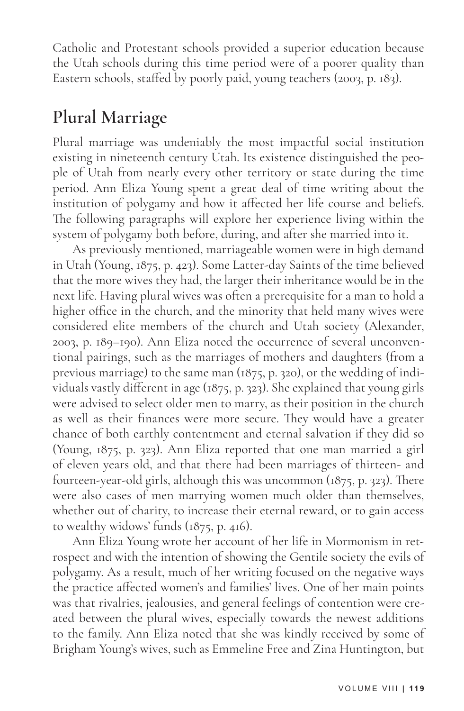Catholic and Protestant schools provided a superior education because the Utah schools during this time period were of a poorer quality than Eastern schools, staffed by poorly paid, young teachers (2003, p. 183).

#### **Plural Marriage**

Plural marriage was undeniably the most impactful social institution existing in nineteenth century Utah. Its existence distinguished the people of Utah from nearly every other territory or state during the time period. Ann Eliza Young spent a great deal of time writing about the institution of polygamy and how it affected her life course and beliefs. The following paragraphs will explore her experience living within the system of polygamy both before, during, and after she married into it.

As previously mentioned, marriageable women were in high demand in Utah (Young, 1875, p. 423). Some Latter-day Saints of the time believed that the more wives they had, the larger their inheritance would be in the next life. Having plural wives was often a prerequisite for a man to hold a higher office in the church, and the minority that held many wives were considered elite members of the church and Utah society (Alexander, 2003, p. 189–190). Ann Eliza noted the occurrence of several unconventional pairings, such as the marriages of mothers and daughters (from a previous marriage) to the same man (1875, p. 320), or the wedding of individuals vastly different in age (1875, p. 323). She explained that young girls were advised to select older men to marry, as their position in the church as well as their finances were more secure. They would have a greater chance of both earthly contentment and eternal salvation if they did so (Young, 1875, p. 323). Ann Eliza reported that one man married a girl of eleven years old, and that there had been marriages of thirteen- and fourteen-year-old girls, although this was uncommon (1875, p. 323). There were also cases of men marrying women much older than themselves, whether out of charity, to increase their eternal reward, or to gain access to wealthy widows' funds (1875, p. 416).

Ann Eliza Young wrote her account of her life in Mormonism in retrospect and with the intention of showing the Gentile society the evils of polygamy. As a result, much of her writing focused on the negative ways the practice affected women's and families' lives. One of her main points was that rivalries, jealousies, and general feelings of contention were created between the plural wives, especially towards the newest additions to the family. Ann Eliza noted that she was kindly received by some of Brigham Young's wives, such as Emmeline Free and Zina Huntington, but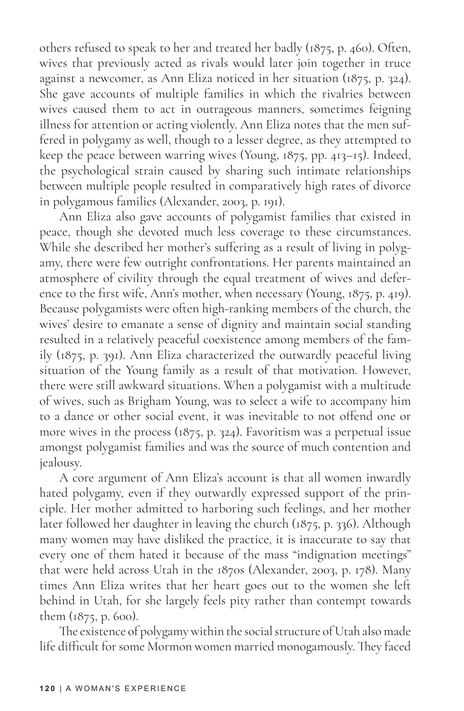others refused to speak to her and treated her badly (1875, p. 460). Often, wives that previously acted as rivals would later join together in truce against a newcomer, as Ann Eliza noticed in her situation (1875, p. 324). She gave accounts of multiple families in which the rivalries between wives caused them to act in outrageous manners, sometimes feigning illness for attention or acting violently. Ann Eliza notes that the men suffered in polygamy as well, though to a lesser degree, as they attempted to keep the peace between warring wives (Young, 1875, pp. 413–15). Indeed, the psychological strain caused by sharing such intimate relationships between multiple people resulted in comparatively high rates of divorce in polygamous families (Alexander, 2003, p. 191).

Ann Eliza also gave accounts of polygamist families that existed in peace, though she devoted much less coverage to these circumstances. While she described her mother's suffering as a result of living in polygamy, there were few outright confrontations. Her parents maintained an atmosphere of civility through the equal treatment of wives and deference to the first wife, Ann's mother, when necessary (Young, 1875, p. 419). Because polygamists were often high-ranking members of the church, the wives' desire to emanate a sense of dignity and maintain social standing resulted in a relatively peaceful coexistence among members of the family (1875, p. 391). Ann Eliza characterized the outwardly peaceful living situation of the Young family as a result of that motivation. However, there were still awkward situations. When a polygamist with a multitude of wives, such as Brigham Young, was to select a wife to accompany him to a dance or other social event, it was inevitable to not offend one or more wives in the process (1875, p. 324). Favoritism was a perpetual issue amongst polygamist families and was the source of much contention and jealousy.

A core argument of Ann Eliza's account is that all women inwardly hated polygamy, even if they outwardly expressed support of the principle. Her mother admitted to harboring such feelings, and her mother later followed her daughter in leaving the church (1875, p. 336). Although many women may have disliked the practice, it is inaccurate to say that every one of them hated it because of the mass "indignation meetings" that were held across Utah in the 1870s (Alexander, 2003, p. 178). Many times Ann Eliza writes that her heart goes out to the women she left behind in Utah, for she largely feels pity rather than contempt towards them (1875, p. 600).

The existence of polygamy within the social structure of Utah also made life difficult for some Mormon women married monogamously. They faced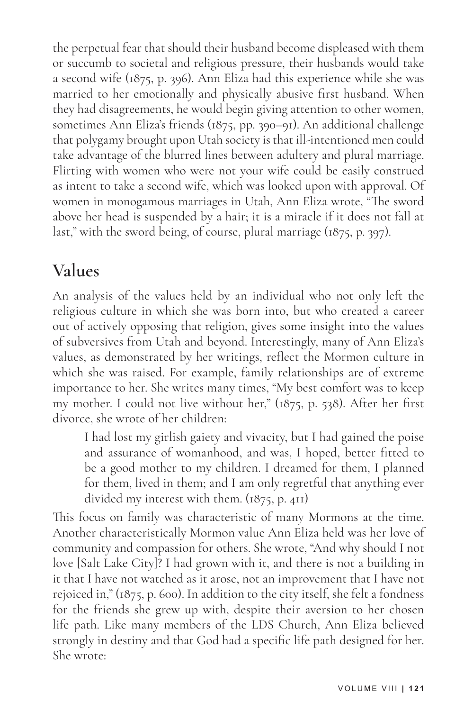the perpetual fear that should their husband become displeased with them or succumb to societal and religious pressure, their husbands would take a second wife (1875, p. 396). Ann Eliza had this experience while she was married to her emotionally and physically abusive first husband. When they had disagreements, he would begin giving attention to other women, sometimes Ann Eliza's friends (1875, pp. 390–91). An additional challenge that polygamy brought upon Utah society is that ill-intentioned men could take advantage of the blurred lines between adultery and plural marriage. Flirting with women who were not your wife could be easily construed as intent to take a second wife, which was looked upon with approval. Of women in monogamous marriages in Utah, Ann Eliza wrote, "The sword above her head is suspended by a hair; it is a miracle if it does not fall at last," with the sword being, of course, plural marriage (1875, p. 397).

#### **Values**

An analysis of the values held by an individual who not only left the religious culture in which she was born into, but who created a career out of actively opposing that religion, gives some insight into the values of subversives from Utah and beyond. Interestingly, many of Ann Eliza's values, as demonstrated by her writings, reflect the Mormon culture in which she was raised. For example, family relationships are of extreme importance to her. She writes many times, "My best comfort was to keep my mother. I could not live without her," (1875, p. 538). After her first divorce, she wrote of her children:

I had lost my girlish gaiety and vivacity, but I had gained the poise and assurance of womanhood, and was, I hoped, better fitted to be a good mother to my children. I dreamed for them, I planned for them, lived in them; and I am only regretful that anything ever divided my interest with them. (1875, p. 411)

This focus on family was characteristic of many Mormons at the time. Another characteristically Mormon value Ann Eliza held was her love of community and compassion for others. She wrote, "And why should I not love [Salt Lake City]? I had grown with it, and there is not a building in it that I have not watched as it arose, not an improvement that I have not rejoiced in," (1875, p. 600). In addition to the city itself, she felt a fondness for the friends she grew up with, despite their aversion to her chosen life path. Like many members of the LDS Church, Ann Eliza believed strongly in destiny and that God had a specific life path designed for her. She wrote: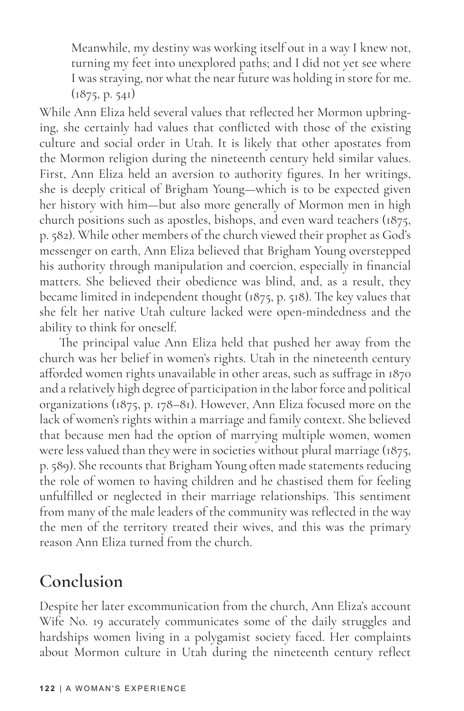Meanwhile, my destiny was working itself out in a way I knew not, turning my feet into unexplored paths; and I did not yet see where I was straying, nor what the near future was holding in store for me.  $(1875, p. 541)$ 

While Ann Eliza held several values that reflected her Mormon upbringing, she certainly had values that conflicted with those of the existing culture and social order in Utah. It is likely that other apostates from the Mormon religion during the nineteenth century held similar values. First, Ann Eliza held an aversion to authority figures. In her writings, she is deeply critical of Brigham Young—which is to be expected given her history with him—but also more generally of Mormon men in high church positions such as apostles, bishops, and even ward teachers (1875, p. 582). While other members of the church viewed their prophet as God's messenger on earth, Ann Eliza believed that Brigham Young overstepped his authority through manipulation and coercion, especially in financial matters. She believed their obedience was blind, and, as a result, they became limited in independent thought (1875, p. 518). The key values that she felt her native Utah culture lacked were open-mindedness and the ability to think for oneself.

The principal value Ann Eliza held that pushed her away from the church was her belief in women's rights. Utah in the nineteenth century afforded women rights unavailable in other areas, such as suffrage in 1870 and a relatively high degree of participation in the labor force and political organizations (1875, p. 178–81). However, Ann Eliza focused more on the lack of women's rights within a marriage and family context. She believed that because men had the option of marrying multiple women, women were less valued than they were in societies without plural marriage (1875, p. 589). She recounts that Brigham Young often made statements reducing the role of women to having children and he chastised them for feeling unfulfilled or neglected in their marriage relationships. This sentiment from many of the male leaders of the community was reflected in the way the men of the territory treated their wives, and this was the primary reason Ann Eliza turned from the church.

#### **Conclusion**

Despite her later excommunication from the church, Ann Eliza's account Wife No. 19 accurately communicates some of the daily struggles and hardships women living in a polygamist society faced. Her complaints about Mormon culture in Utah during the nineteenth century reflect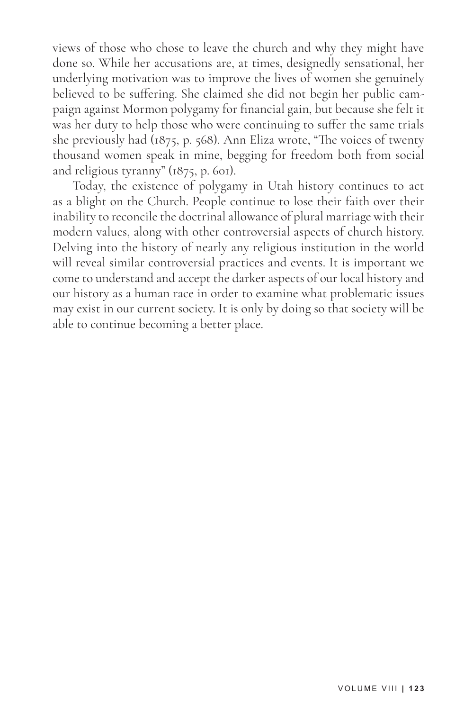views of those who chose to leave the church and why they might have done so. While her accusations are, at times, designedly sensational, her underlying motivation was to improve the lives of women she genuinely believed to be suffering. She claimed she did not begin her public campaign against Mormon polygamy for financial gain, but because she felt it was her duty to help those who were continuing to suffer the same trials she previously had (1875, p. 568). Ann Eliza wrote, "The voices of twenty thousand women speak in mine, begging for freedom both from social and religious tyranny" (1875, p. 601).

Today, the existence of polygamy in Utah history continues to act as a blight on the Church. People continue to lose their faith over their inability to reconcile the doctrinal allowance of plural marriage with their modern values, along with other controversial aspects of church history. Delving into the history of nearly any religious institution in the world will reveal similar controversial practices and events. It is important we come to understand and accept the darker aspects of our local history and our history as a human race in order to examine what problematic issues may exist in our current society. It is only by doing so that society will be able to continue becoming a better place.